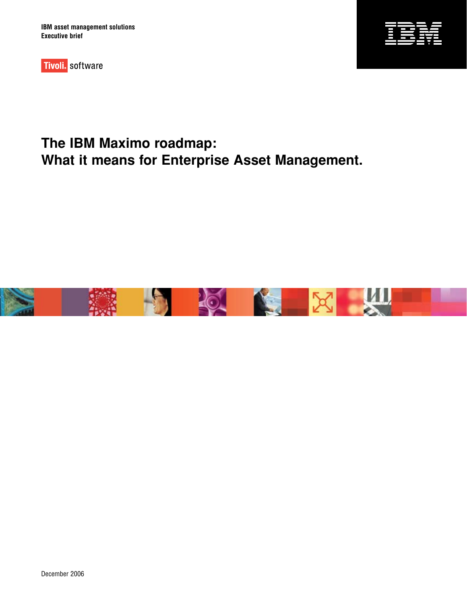**IBM asset management solutions Executive brief**



Tivoli. software

# **The IBM Maximo roadmap: What it means for Enterprise Asset Management.**

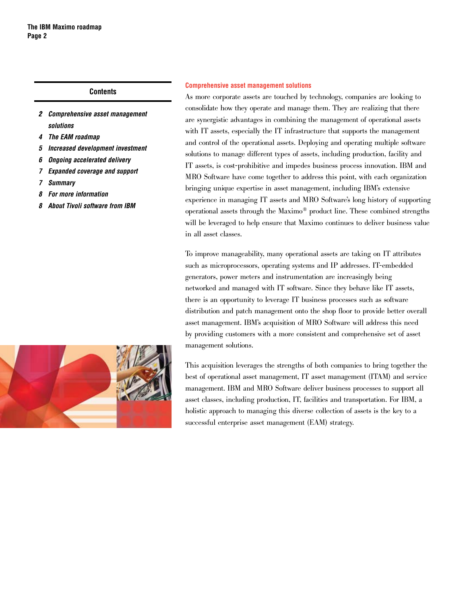# **Contents**

- *�2 Comprehensive asset management solutions*
- *4 The EAM [roadmap](#page-3-0)*
- *5 Increased [development](#page-4-0) investment*
- *6 Ongoing [accelerated](#page-5-0) delivery*
- *7 [Expanded](#page-6-0) coverage and support*
- *7 [Summary](#page-6-0)*
- *8 For more [information](#page-7-0)*
- *8 About Tivoli [software](#page-7-0) from IBM*



### **Comprehensive asset management solutions**

As more corporate assets are touched by technology, companies are looking to consolidate how they operate and manage them. They are realizing that there are synergistic advantages in combining the management of operational assets with IT assets, especially the IT infrastructure that supports the management and control of the operational assets. Deploying and operating multiple software solutions to manage different types of assets, including production, facility and IT assets, is cost-prohibitive and impedes business process innovation. IBM and MRO Software have come together to address this point, with each organization bringing unique expertise in asset management, including IBM's extensive experience in managing IT assets and MRO Software's long history of supporting operational assets through the Maximo® product line. These combined strengths will be leveraged to help ensure that Maximo continues to deliver business value in all asset classes.

To improve manageability, many operational assets are taking on IT attributes such as microprocessors, operating systems and IP addresses. IT-embedded generators, power meters and instrumentation are increasingly being networked and managed with IT software. Since they behave like IT assets, there is an opportunity to leverage IT business processes such as software distribution and patch management onto the shop floor to provide better overall asset management. IBM's acquisition of MRO Software will address this need by providing customers with a more consistent and comprehensive set of asset management solutions.

This acquisition leverages the strengths of both companies to bring together the best of operational asset management, IT asset management (ITAM) and service management. IBM and MRO Software deliver business processes to support all asset classes, including production, IT, facilities and transportation. For IBM, a holistic approach to managing this diverse collection of assets is the key to a successful enterprise asset management (EAM) strategy.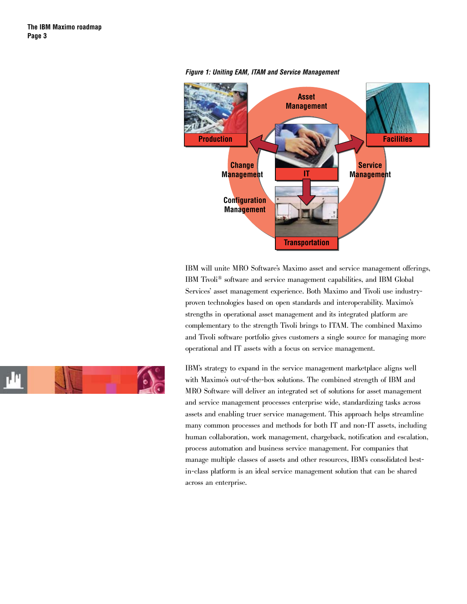

#### *Figure 1: Uniting EAM, ITAM and Service Management*

IBM will unite MRO Software's Maximo asset and service management offerings, IBM Tivoli® software and service management capabilities, and IBM Global Services' asset management experience. Both Maximo and Tivoli use industryproven technologies based on open standards and interoperability. Maximo's strengths in operational asset management and its integrated platform are complementary to the strength Tivoli brings to ITAM. The combined Maximo and Tivoli software portfolio gives customers a single source for managing more operational and IT assets with a focus on service management.



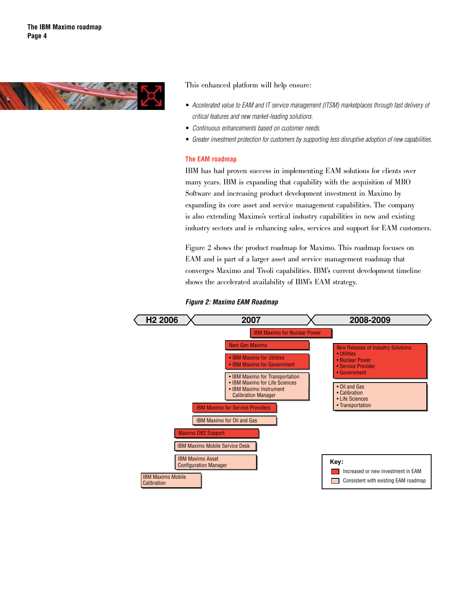<span id="page-3-0"></span>

This enhanced platform will help ensure:

- Accelerated value to EAM and IT service management (ITSM) marketplaces through fast delivery of *critical features and new market-leading solutions.*
- *Continuous enhancements based on customer needs.* •
- *Greater investment protection for customers by supporting less disruptive adoption of new capabilities.* •

# **The EAM roadmap**

IBM has had proven success in implementing EAM solutions for clients over many years. IBM is expanding that capability with the acquisition of MRO Software and increasing product development investment in Maximo by expanding its core asset and service management capabilities. The company is also extending Maximo's vertical industry capabilities in new and existing industry sectors and is enhancing sales, services and support for EAM customers.

Figure 2 shows the product roadmap for Maximo. This roadmap focuses on EAM and is part of a larger asset and service management roadmap that converges Maximo and Tivoli capabilities. IBM's current development timeline shows the accelerated availability of IBM's EAM strategy.



*Figure 2: Maximo EAM Roadmap*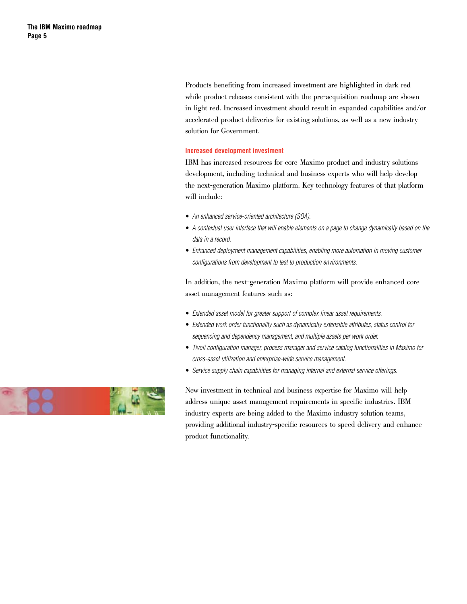<span id="page-4-0"></span>Products benefiting from increased investment are highlighted in dark red while product releases consistent with the pre-acquisition roadmap are shown in light red. Increased investment should result in expanded capabilities and/or accelerated product deliveries for existing solutions, as well as a new industry solution for Government.

# **Increased development investment**

IBM has increased resources for core Maximo product and industry solutions development, including technical and business experts who will help develop the next-generation Maximo platform. Key technology features of that platform will include:

- *An enhanced service-oriented architecture (SOA).* •
- *A contextual user interface that will enable elements on a page to change dynamically based on the data in a record.*
- Enhanced deployment management capabilities, enabling more automation in moving customer *configurations from development to test to production environments.*

In addition, the next-generation Maximo platform will provide enhanced core asset management features such as:

- *Extended asset model for greater support of complex linear asset requirements.* •
- *Extended work order functionality such as dynamically extensible attributes, status control for sequencing and dependency management, and multiple assets per work order.*
- *Tivoli configuration manager, process manager and service catalog functionalities in Maximo for cross-asset utilization and enterprise-wide service management.*
- *Service supply chain capabilities for managing internal and external service offerings.* •

New investment in technical and business expertise for Maximo will help address unique asset management requirements in specific industries. IBM industry experts are being added to the Maximo industry solution teams, providing additional industry-specific resources to speed delivery and enhance product functionality.

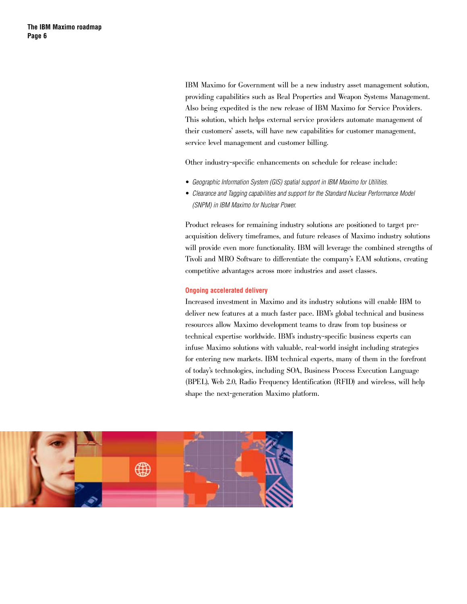<span id="page-5-0"></span>IBM Maximo for Government will be a new industry asset management solution, providing capabilities such as Real Properties and Weapon Systems Management. Also being expedited is the new release of IBM Maximo for Service Providers. This solution, which helps external service providers automate management of their customers' assets, will have new capabilities for customer management, service level management and customer billing.

Other industry-specific enhancements on schedule for release include:

- *Geographic Information System (GIS) spatial support in IBM Maximo for Utilities.* •
- Clearance and Tagging capabilities and support for the Standard Nuclear Performance Model *(SNPM) in IBM Maximo for Nuclear Power.*

Product releases for remaining industry solutions are positioned to target preacquisition delivery timeframes, and future releases of Maximo industry solutions will provide even more functionality. IBM will leverage the combined strengths of Tivoli and MRO Software to differentiate the company's EAM solutions, creating competitive advantages across more industries and asset classes.

#### **Ongoing accelerated delivery**

Increased investment in Maximo and its industry solutions will enable IBM to deliver new features at a much faster pace. IBM's global technical and business resources allow Maximo development teams to draw from top business or technical expertise worldwide. IBM's industry-specific business experts can infuse Maximo solutions with valuable, real-world insight including strategies for entering new markets. IBM technical experts, many of them in the forefront of today's technologies, including SOA, Business Process Execution Language (BPEL), Web 2.0, Radio Frequency Identification (RFID) and wireless, will help shape the next-generation Maximo platform.

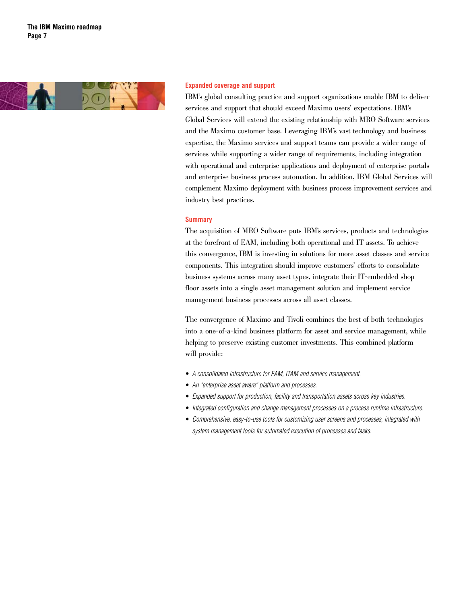<span id="page-6-0"></span>

#### **Expanded coverage and support**

IBM's global consulting practice and support organizations enable IBM to deliver services and support that should exceed Maximo users' expectations. IBM's Global Services will extend the existing relationship with MRO Software services and the Maximo customer base. Leveraging IBM's vast technology and business expertise, the Maximo services and support teams can provide a wider range of services while supporting a wider range of requirements, including integration with operational and enterprise applications and deployment of enterprise portals and enterprise business process automation. In addition, IBM Global Services will complement Maximo deployment with business process improvement services and industry best practices.

#### **Summary**

The acquisition of MRO Software puts IBM's services, products and technologies at the forefront of EAM, including both operational and IT assets. To achieve this convergence, IBM is investing in solutions for more asset classes and service components. This integration should improve customers' efforts to consolidate business systems across many asset types, integrate their IT-embedded shop floor assets into a single asset management solution and implement service management business processes across all asset classes.

The convergence of Maximo and Tivoli combines the best of both technologies into a one-of-a-kind business platform for asset and service management, while helping to preserve existing customer investments. This combined platform will provide:

- *A consolidated infrastructure for EAM, ITAM and service management.* •
- *An "enterprise asset aware" platform and processes.* •
- *Expanded support for production, facility and transportation assets across key industries.* •
- *Integrated configuration and change management processes on a process runtime infrastructure.* •
- *Comprehensive, easy-to-use tools for customizing user screens and processes, integrated with system management tools for automated execution of processes and tasks.*